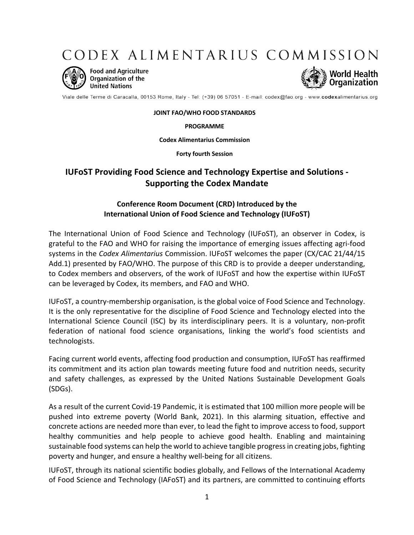CODEX ALIMENTARIUS COMMISSION



**Food and Agriculture Organization of the United Nations** 



Viale delle Terme di Caracalla, 00153 Rome, Italy - Tel: (+39) 06 57051 - E-mail: codex@fao.org - www.codexalimentarius.org

## **JOINT FAO/WHO FOOD STANDARDS**

**PROGRAMME** 

**Codex Alimentarius Commission**

**Forty fourth Session**

## **IUFoST Providing Food Science and Technology Expertise and Solutions - Supporting the Codex Mandate**

## **Conference Room Document (CRD) Introduced by the International Union of Food Science and Technology (IUFoST)**

The International Union of Food Science and Technology (IUFoST), an observer in Codex, is grateful to the FAO and WHO for raising the importance of emerging issues affecting agri-food systems in the *Codex Alimentarius* Commission. IUFoST welcomes the paper (CX/CAC 21/44/15 Add.1) presented by FAO/WHO. The purpose of this CRD is to provide a deeper understanding, to Codex members and observers, of the work of IUFoST and how the expertise within IUFoST can be leveraged by Codex, its members, and FAO and WHO.

IUFoST, a country-membership organisation, is the global voice of Food Science and Technology. It is the only representative for the discipline of Food Science and Technology elected into the International Science Council (ISC) by its interdisciplinary peers. It is a voluntary, non-profit federation of national food science organisations, linking the world's food scientists and technologists.

Facing current world events, affecting food production and consumption, IUFoST has reaffirmed its commitment and its action plan towards meeting future food and nutrition needs, security and safety challenges, as expressed by the United Nations Sustainable Development Goals (SDGs).

As a result of the current Covid-19 Pandemic, it is estimated that 100 million more people will be pushed into extreme poverty (World Bank, 2021). In this alarming situation, effective and concrete actions are needed more than ever, to lead the fight to improve access to food, support healthy communities and help people to achieve good health. Enabling and maintaining sustainable food systems can help the world to achieve tangible progress in creating jobs, fighting poverty and hunger, and ensure a healthy well-being for all citizens.

IUFoST, through its national scientific bodies globally, and Fellows of the International Academy of Food Science and Technology (IAFoST) and its partners, are committed to continuing efforts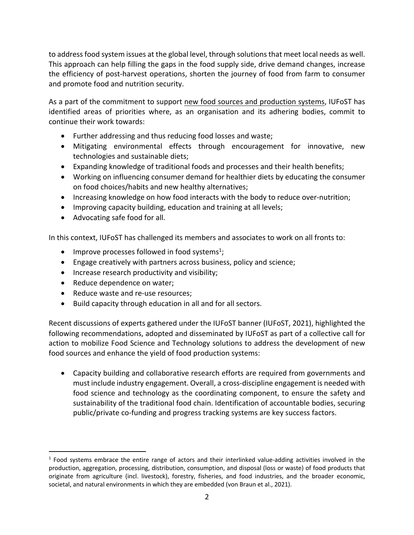to address food system issues at the global level, through solutions that meet local needs as well. This approach can help filling the gaps in the food supply side, drive demand changes, increase the efficiency of post-harvest operations, shorten the journey of food from farm to consumer and promote food and nutrition security.

As a part of the commitment to support new food sources and production systems, IUFoST has identified areas of priorities where, as an organisation and its adhering bodies, commit to continue their work towards:

- Further addressing and thus reducing food losses and waste;
- Mitigating environmental effects through encouragement for innovative, new technologies and sustainable diets;
- Expanding knowledge of traditional foods and processes and their health benefits;
- Working on influencing consumer demand for healthier diets by educating the consumer on food choices/habits and new healthy alternatives;
- Increasing knowledge on how food interacts with the body to reduce over-nutrition;
- Improving capacity building, education and training at all levels;
- Advocating safe food for all.

In this context, IUFoST has challenged its members and associates to work on all fronts to:

- $\bullet$  Improve processes followed in food systems<sup>1</sup>;
- Engage creatively with partners across business, policy and science;
- Increase research productivity and visibility;
- Reduce dependence on water;
- Reduce waste and re-use resources;
- Build capacity through education in all and for all sectors.

Recent discussions of experts gathered under the IUFoST banner (IUFoST, 2021), highlighted the following recommendations, adopted and disseminated by IUFoST as part of a collective call for action to mobilize Food Science and Technology solutions to address the development of new food sources and enhance the yield of food production systems:

• Capacity building and collaborative research efforts are required from governments and must include industry engagement. Overall, a cross-discipline engagement is needed with food science and technology as the coordinating component, to ensure the safety and sustainability of the traditional food chain. Identification of accountable bodies, securing public/private co-funding and progress tracking systems are key success factors.

 $1$  Food systems embrace the entire range of actors and their interlinked value-adding activities involved in the production, aggregation, processing, distribution, consumption, and disposal (loss or waste) of food products that originate from agriculture (incl. livestock), forestry, fisheries, and food industries, and the broader economic, societal, and natural environments in which they are embedded (von Braun et al., 2021).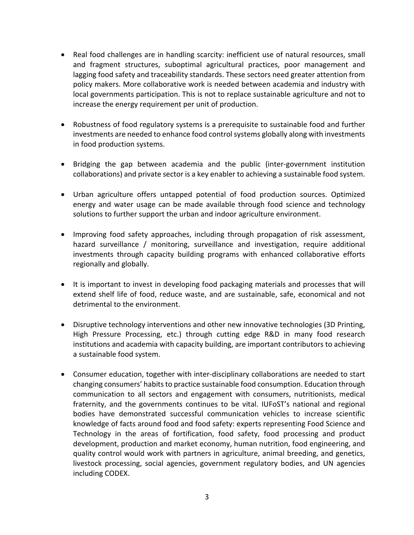- Real food challenges are in handling scarcity: inefficient use of natural resources, small and fragment structures, suboptimal agricultural practices, poor management and lagging food safety and traceability standards. These sectors need greater attention from policy makers. More collaborative work is needed between academia and industry with local governments participation. This is not to replace sustainable agriculture and not to increase the energy requirement per unit of production.
- Robustness of food regulatory systems is a prerequisite to sustainable food and further investments are needed to enhance food control systems globally along with investments in food production systems.
- Bridging the gap between academia and the public (inter-government institution collaborations) and private sector is a key enabler to achieving a sustainable food system.
- Urban agriculture offers untapped potential of food production sources. Optimized energy and water usage can be made available through food science and technology solutions to further support the urban and indoor agriculture environment.
- Improving food safety approaches, including through propagation of risk assessment, hazard surveillance / monitoring, surveillance and investigation, require additional investments through capacity building programs with enhanced collaborative efforts regionally and globally.
- It is important to invest in developing food packaging materials and processes that will extend shelf life of food, reduce waste, and are sustainable, safe, economical and not detrimental to the environment.
- Disruptive technology interventions and other new innovative technologies (3D Printing, High Pressure Processing, etc.) through cutting edge R&D in many food research institutions and academia with capacity building, are important contributors to achieving a sustainable food system.
- Consumer education, together with inter-disciplinary collaborations are needed to start changing consumers' habits to practice sustainable food consumption. Education through communication to all sectors and engagement with consumers, nutritionists, medical fraternity, and the governments continues to be vital. IUFoST's national and regional bodies have demonstrated successful communication vehicles to increase scientific knowledge of facts around food and food safety: experts representing Food Science and Technology in the areas of fortification, food safety, food processing and product development, production and market economy, human nutrition, food engineering, and quality control would work with partners in agriculture, animal breeding, and genetics, livestock processing, social agencies, government regulatory bodies, and UN agencies including CODEX.